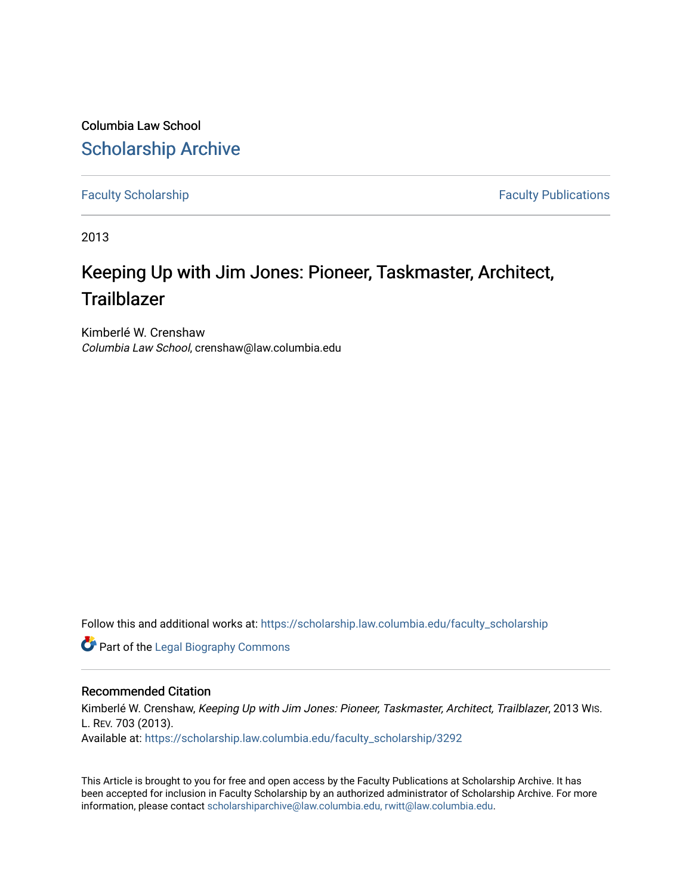Columbia Law School [Scholarship Archive](https://scholarship.law.columbia.edu/) 

[Faculty Scholarship](https://scholarship.law.columbia.edu/faculty_scholarship) **Faculty Scholarship Faculty Publications** 

2013

# Keeping Up with Jim Jones: Pioneer, Taskmaster, Architect, **Trailblazer**

Kimberlé W. Crenshaw Columbia Law School, crenshaw@law.columbia.edu

Follow this and additional works at: [https://scholarship.law.columbia.edu/faculty\\_scholarship](https://scholarship.law.columbia.edu/faculty_scholarship?utm_source=scholarship.law.columbia.edu%2Ffaculty_scholarship%2F3292&utm_medium=PDF&utm_campaign=PDFCoverPages)

**Part of the Legal Biography Commons** 

## Recommended Citation

Kimberlé W. Crenshaw, Keeping Up with Jim Jones: Pioneer, Taskmaster, Architect, Trailblazer, 2013 WIs. L. REV. 703 (2013). Available at: [https://scholarship.law.columbia.edu/faculty\\_scholarship/3292](https://scholarship.law.columbia.edu/faculty_scholarship/3292?utm_source=scholarship.law.columbia.edu%2Ffaculty_scholarship%2F3292&utm_medium=PDF&utm_campaign=PDFCoverPages)

This Article is brought to you for free and open access by the Faculty Publications at Scholarship Archive. It has been accepted for inclusion in Faculty Scholarship by an authorized administrator of Scholarship Archive. For more information, please contact [scholarshiparchive@law.columbia.edu, rwitt@law.columbia.edu](mailto:scholarshiparchive@law.columbia.edu,%20rwitt@law.columbia.edu).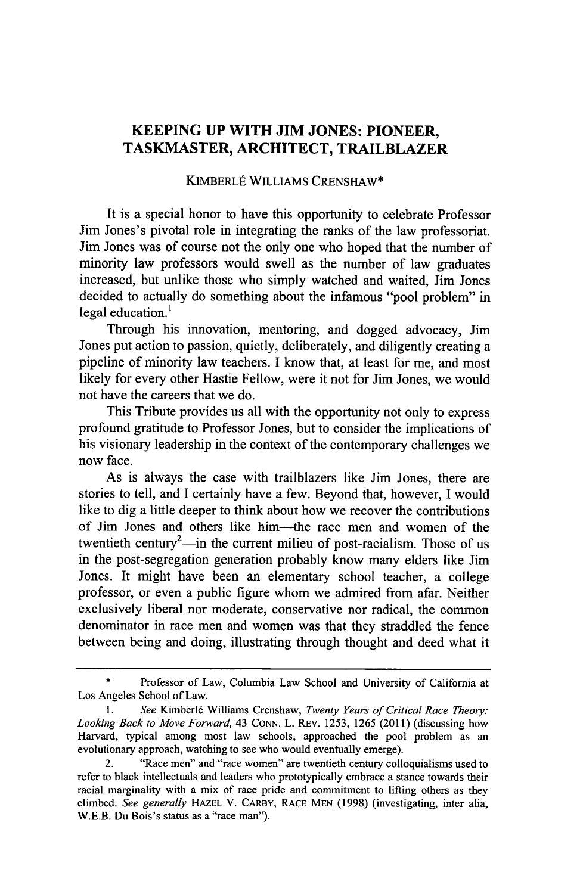# **KEEPING UP WITH JIM JONES: PIONEER, TASKMASTER, ARCHITECT, TRAILBLAZER**

#### KIMBERLÉ WILLIAMS CRENSHAW\*

It is a special honor to have this opportunity to celebrate Professor Jim Jones's pivotal role in integrating the ranks of the law professoriat. Jim Jones was of course not the only one who hoped that the number of minority law professors would swell as the number of law graduates increased, but unlike those who simply watched and waited, Jim Jones decided to actually do something about the infamous "pool problem" in legal education. $<sup>1</sup>$ </sup>

Through his innovation, mentoring, and dogged advocacy, Jim Jones put action to passion, quietly, deliberately, and diligently creating a pipeline of minority law teachers. **I** know that, at least for me, and most likely for every other Hastie Fellow, were it not for Jim Jones, we would not have the careers that we do.

This Tribute provides us all with the opportunity not only to express profound gratitude to Professor Jones, but to consider the implications of his visionary leadership in the context of the contemporary challenges we now face.

As is always the case with trailblazers like Jim Jones, there are stories to tell, and I certainly have a few. Beyond that, however, I would like to dig a little deeper to think about how we recover the contributions of Jim Jones and others like him-the race men and women of the twentieth century<sup>2</sup>—in the current milieu of post-racialism. Those of us in the post-segregation generation probably know many elders like Jim Jones. It might have been an elementary school teacher, a college professor, or even a public figure whom we admired from afar. Neither exclusively liberal nor moderate, conservative nor radical, the common denominator in race men and women was that they straddled the fence between being and doing, illustrating through thought and deed what it

Professor of Law, Columbia Law School and University of California at Los Angeles School of Law.

<sup>1.</sup> See Kimberlé Williams Crenshaw, *Twenty Years of Critical Race Theory*: *Looking Back to Move Forward,* 43 CONN. L. REv. 1253, 1265 (2011) (discussing how Harvard, typical among most law schools, approached the pool problem as an evolutionary approach, watching to see who would eventually emerge).

<sup>2. &</sup>quot;Race men" and "race women" are twentieth century colloquialisms used to refer to black intellectuals and leaders who prototypically embrace a stance towards their racial marginality with a mix of race pride and commitment to lifting others as they climbed. *See generally* HAZEL V. CARBY, RACE MEN (1998) (investigating, inter alia, W.E.B. Du Bois's status as a "race man").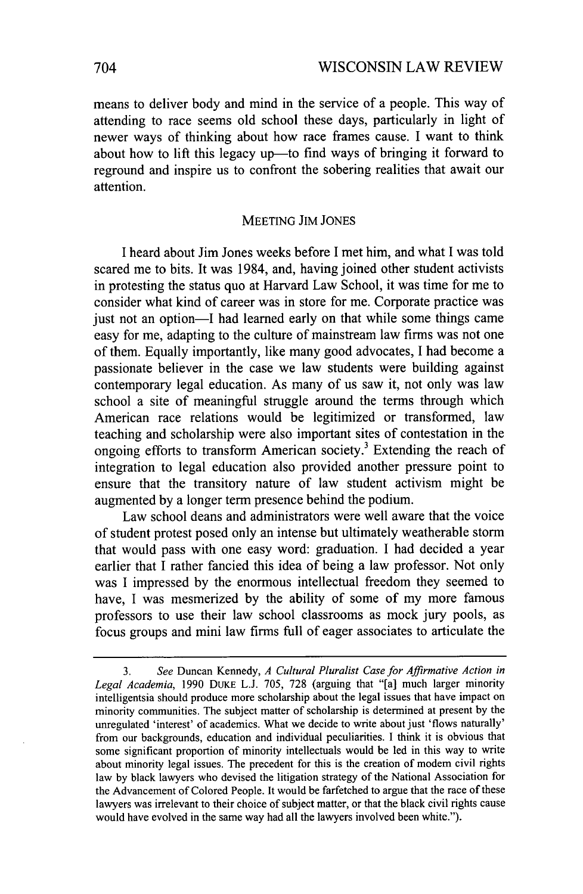means to deliver body and mind in the service of a people. This way of attending to race seems old school these days, particularly in light of newer ways of thinking about how race frames cause. I want to think about how to lift this legacy up-to find ways of bringing it forward to reground and inspire us to confront the sobering realities that await our attention.

#### MEETING JIM JONES

I heard about Jim Jones weeks before I met him, and what I was told scared me to bits. It was 1984, and, having joined other student activists in protesting the status quo at Harvard Law School, it was time for me to consider what kind of career was in store for me. Corporate practice was just not an option-I had learned early on that while some things came easy for me, adapting to the culture of mainstream law firms was not one of them. Equally importantly, like many good advocates, I had become a passionate believer in the case we law students were building against contemporary legal education. As many of us saw it, not only was law school a site of meaningful struggle around the terms through which American race relations would be legitimized or transformed, law teaching and scholarship were also important sites of contestation in the ongoing efforts to transform American society.3 Extending the reach of integration to legal education also provided another pressure point to ensure that the transitory nature of law student activism might be augmented by a longer term presence behind the podium.

Law school deans and administrators were well aware that the voice of student protest posed only an intense but ultimately weatherable storm that would pass with one easy word: graduation. I had decided a year earlier that I rather fancied this idea of being a law professor. Not only was I impressed by the enormous intellectual freedom they seemed to have. I was mesmerized by the ability of some of my more famous professors to use their law school classrooms as mock jury pools, as focus groups and mini law firms full of eager associates to articulate the

<sup>3.</sup> *See* Duncan Kennedy, *A Cultural Pluralist Case for Affirmative Action in Legal Academia,* 1990 DUKE L.J. 705, 728 (arguing that "[a] much larger minority intelligentsia should produce more scholarship about the legal issues that have impact on minority communities. The subject matter of scholarship is determined at present by the unregulated 'interest' of academics. What we decide to write about just 'flows naturally' from our backgrounds, education and individual peculiarities. I think it is obvious that some significant proportion of minority intellectuals would be led in this way to write about minority legal issues. The precedent for this is the creation of modem civil rights law by black lawyers who devised the litigation strategy of the National Association for the Advancement of Colored People. It would be farfetched to argue that the race of these lawyers was irrelevant to their choice of subject matter, or that the black civil rights cause would have evolved in the same way had all the lawyers involved been white.").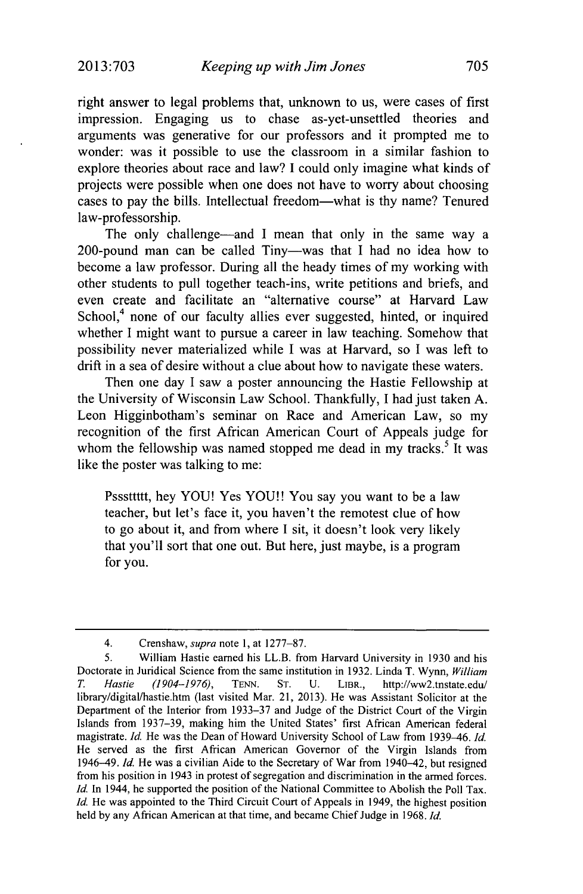right answer to legal problems that, unknown to us, were cases of first impression. Engaging us to chase as-yet-unsettled theories and arguments was generative for our professors and it prompted me to wonder: was it possible to use the classroom in a similar fashion to explore theories about race and law? I could only imagine what kinds of projects were possible when one does not have to worry about choosing cases to pay the bills. Intellectual freedom-what is thy name? Tenured law-professorship.

The only challenge—and I mean that only in the same way a 200-pound man can be called Tiny-was that I had no idea how to become a law professor. During all the heady times of my working with other students to pull together teach-ins, write petitions and briefs, and even create and facilitate an "alternative course" at Harvard Law School,<sup>4</sup> none of our faculty allies ever suggested, hinted, or inquired whether I might want to pursue a career in law teaching. Somehow that possibility never materialized while I was at Harvard, so I was left to drift in a sea of desire without a clue about how to navigate these waters.

Then one day I saw a poster announcing the Hastie Fellowship at the University of Wisconsin Law School. Thankfully, I had just taken A. Leon Higginbotham's seminar on Race and American Law, so my recognition of the first African American Court of Appeals judge for whom the fellowship was named stopped me dead in my tracks.<sup>5</sup> It was like the poster was talking to me:

Psssttttt, hey YOU! Yes YOU!! You say you want to be a law teacher, but let's face it, you haven't the remotest clue of how to go about it, and from where I sit, it doesn't look very likely that you'll sort that one out. But here, just maybe, is a program for you.

<sup>4.</sup> Crenshaw, *supra* note 1, at 1277-87.

*<sup>5.</sup>* William Hastie earned his LL.B. from Harvard University in 1930 and his Doctorate in Juridical Science from the same institution in 1932. Linda T. Wynn, *William T. Hastie (1904-1976),* TENN. ST. U. LIBR., http://ww2.tnstate.edu/ library/digitallhastie.htm (last visited Mar. 21, 2013). He was Assistant Solicitor at the Department of the Interior from 1933-37 and Judge of the District Court of the Virgin Islands from 1937-39, making him the United States' first African American federal magistrate. *Id.* He was the Dean of Howard University School of Law from 1939-46. *Id.* He served as the first African American Governor of the Virgin Islands from 1946-49. *Id.* He was a civilian Aide to the Secretary of War from 1940-42, but resigned from his position in 1943 in protest of segregation and discrimination in the armed forces. *Id.* In 1944, he supported the position of the National Committee to Abolish the Poll Tax. *Id.* He was appointed to the Third Circuit Court of Appeals in 1949, the highest position held by any African American at that time, and became Chief Judge in 1968. *Id.*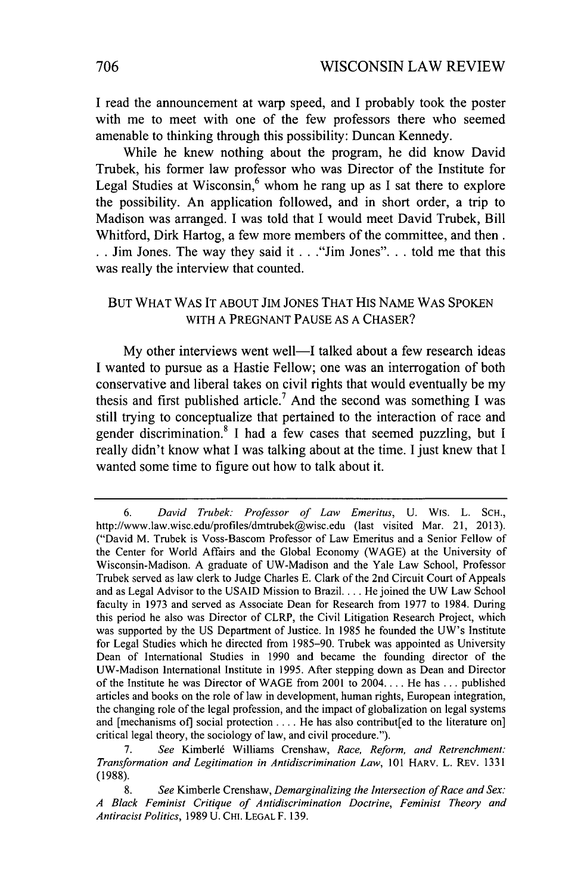**I** read the announcement at warp speed, and **I** probably took the poster with me to meet with one of the few professors there who seemed amenable to thinking through this possibility: Duncan Kennedy.

While he knew nothing about the program, he did know David Trubek, his former law professor who was Director of the Institute for Legal Studies at Wisconsin,<sup>6</sup> whom he rang up as I sat there to explore the possibility. An application followed, and in short order, a trip to Madison was arranged. **I** was told that **I** would meet David Trubek, Bill Whitford, Dirk Hartog, a few more members of the committee, and then. **.** Jim Jones. The way they said it **. .** ."Jim Jones"... told me that this was really the interview that counted.

## BUT WHAT WAS IT ABOUT JIM JONES THAT HIS NAME WAS SPOKEN WITH A PREGNANT PAUSE AS A CHASER?

My other interviews went well—I talked about a few research ideas I wanted to pursue as a Hastie Fellow; one was an interrogation of both conservative and liberal takes on civil rights that would eventually be my thesis and first published article.<sup>7</sup> And the second was something I was still trying to conceptualize that pertained to the interaction of race and gender discrimination.<sup>8</sup> I had a few cases that seemed puzzling, but I really didn't know what I was talking about at the time. I just knew that I wanted some time to figure out how to talk about it.

*<sup>6.</sup> David Trubek: Professor of Law Emeritus,* U. Wis. L. SCH., http://www.law.wisc.edu/profiles/dmtrubek@wisc.edu (last visited Mar. 21, 2013). ("David M. Trubek is Voss-Bascom Professor of Law Emeritus and a Senior Fellow of the Center for World Affairs and the Global Economy (WAGE) at the University of Wisconsin-Madison. A graduate of UW-Madison and the Yale Law School, Professor Trubek served as law clerk to Judge Charles E. Clark of the 2nd Circuit Court of Appeals and as Legal Advisor to the USAID Mission to Brazil.... He joined the UW Law School faculty in 1973 and served as Associate Dean for Research from 1977 to 1984. During this period he also was Director of CLRP, the Civil Litigation Research Project, which was supported by the US Department of Justice. In 1985 he founded the UW's Institute for Legal Studies which he directed from 1985-90. Trubek was appointed as University Dean of International Studies in 1990 and became the founding director of the UW-Madison International Institute in 1995. After stepping down as Dean and Director of the Institute he was Director of WAGE from 2001 to 2004.... He has ... published articles and books on the role of law in development, human rights, European integration, the changing role of the legal profession, and the impact of globalization on legal systems and [mechanisms of] social protection .... He has also contribut[ed to the literature on] critical legal theory, the sociology of law, and civil procedure.").

<sup>7.</sup> *See* Kimberl6 Williams Crenshaw, *Race, Reform, and Retrenchment: Transformation and Legitimation in Antidiscrimination Law,* 101 HARV. L. REv. 1331 (1988).

<sup>8.</sup> *See* Kimberle Crenshaw, *Demarginalizing the Intersection of Race and Sex: A Black Feminist Critique of Antidiscrimination Doctrine, Feminist Theory and Antiracist Politics,* 1989 U. CHI. LEGAL F. 139.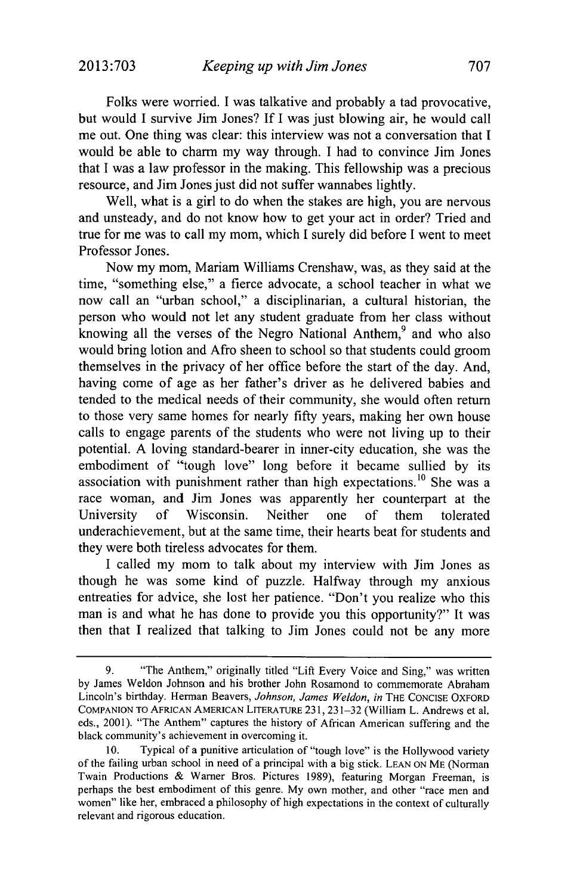Folks were worried. I was talkative and probably a tad provocative, but would I survive Jim Jones? If I was just blowing air, he would call me out. One thing was clear: this interview was not a conversation that I would be able to charm my way through. I had to convince Jim Jones that I was a law professor in the making. This fellowship was a precious resource, and Jim Jones just did not suffer wannabes lightly.

Well, what is a girl to do when the stakes are high, you are nervous and unsteady, and do not know how to get your act in order? Tried and true for me was to call my mom, which I surely did before I went to meet Professor Jones.

Now my mom, Mariam Williams Crenshaw, was, as they said at the time, "something else," a fierce advocate, a school teacher in what we now call an "urban school," a disciplinarian, a cultural historian, the person who would not let any student graduate from her class without knowing all the verses of the Negro National Anthem,<sup>9</sup> and who also would bring lotion and Afro sheen to school so that students could groom themselves in the privacy of her office before the start of the day. And, having come of age as her father's driver as he delivered babies and tended to the medical needs of their community, she would often return to those very same homes for nearly fifty years, making her own house calls to engage parents of the students who were not living up to their potential. A loving standard-bearer in inner-city education, she was the embodiment of "tough love" long before it became sullied by its association with punishment rather than high expectations.<sup>10</sup> She was a race woman, and Jim Jones was apparently her counterpart at the University of Wisconsin. Neither one of them tolerated underachievement, but at the same time, their hearts beat for students and they were both tireless advocates for them.

I called my mom to talk about my interview with Jim Jones as though he was some kind of puzzle. Halfway through my anxious entreaties for advice, she lost her patience. "Don't you realize who this man is and what he has done to provide you this opportunity?" It was then that I realized that talking to Jim Jones could not be any more

<sup>9. &</sup>quot;The Anthem," originally titled "Lift Every Voice and Sing," was written by James Weldon Johnson and his brother John Rosamond to commemorate Abraham Lincoln's birthday. Herman Beavers, *Johnson, James Weldon, in* THE **CONCISE** OXFORD **COMPANION** TO **AFRICAN AMERICAN** LITERATURE 231, 231-32 (William L. Andrews et al. eds., 2001). "The Anthem" captures the history of African American suffering and the black community's achievement in overcoming it.

<sup>10.</sup> Typical of a punitive articulation of "tough love" is the Hollywood variety of the failing urban school in need of a principal with a big stick. **LEAN ON** ME (Norman Twain Productions & Warner Bros. Pictures 1989), featuring Morgan Freeman, is perhaps the best embodiment of this genre. My own mother, and other "race men and women" like her, embraced a philosophy of high expectations in the context of culturally relevant and rigorous education.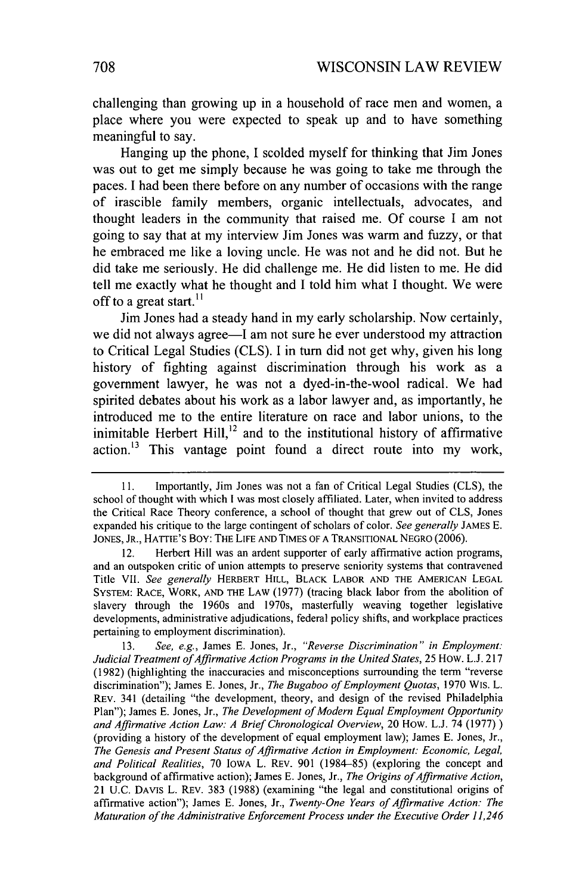challenging than growing up in a household of race men and women, a place where you were expected to speak up and to have something meaningful to say.

Hanging up the phone, I scolded myself for thinking that Jim Jones was out to get me simply because he was going to take me through the paces. I had been there before on any number of occasions with the range of irascible family members, organic intellectuals, advocates, and thought leaders in the community that raised me. Of course I am not going to say that at my interview Jim Jones was warm and fuzzy, or that he embraced me like a loving uncle. He was not and he did not. But he did take me seriously. He did challenge me. He did listen to me. He did tell me exactly what he thought and I told him what I thought. We were off to a great start.<sup>11</sup>

Jim Jones had a steady hand in my early scholarship. Now certainly, we did not always agree-I am not sure he ever understood my attraction to Critical Legal Studies (CLS). I in turn did not get why, given his long history of fighting against discrimination through his work as a government lawyer, he was not a dyed-in-the-wool radical. We had spirited debates about his work as a labor lawyer and, as importantly, he introduced me to the entire literature on race and labor unions, to the inimitable Herbert Hill, $12$  and to the institutional history of affirmative action.<sup>13</sup> This vantage point found a direct route into my work,

13. *See, e.g.,* James E. Jones, Jr., *"Reverse Discrimination" in Employment: Judicial Treatment of Affirmative Action Programs in the United States,* 25 How. L.J. 217 (1982) (highlighting the inaccuracies and misconceptions surrounding the term "reverse discrimination"); James E. Jones, Jr., *The Bugaboo of Employment Quotas,* 1970 WIS. L. REV. 341 (detailing "the development, theory, and design of the revised Philadelphia Plan"); James E. Jones, Jr., *The Development of Modern Equal Employment Opportunity and Affirmative Action Law: A Brief Chronological Overview,* 20 How. L.J. 74 (1977)) (providing a history of the development of equal employment law); James E. Jones, Jr., *The Genesis and Present Status of Affirmative Action in Employment: Economic, Legal, and Political Realities,* 70 IOWA L. REV. 901 (1984-85) (exploring the concept and background of affirmative action); James E. Jones, Jr., *The Origins of Affirmative Action,* 21 U.C. **DAVIS** L. REV. 383 (1988) (examining "the legal and constitutional origins of affirmative action"); James **E.** Jones, Jr., *Twenty-One Years of Affirmative Action: The Maturation of the Administrative Enforcement Process under the Executive Order 11,246*

<sup>11.</sup> Importantly, Jim Jones was not a fan of Critical Legal Studies (CLS), the school of thought with which I was most closely affiliated. Later, when invited to address the Critical Race Theory conference, a school of thought that grew out of CLS, Jones expanded his critique to the large contingent of scholars of color. *See generally* JAMES E. **JONES,** JR., HATTIE'S Boy: **THE LIFE AND TIMES** OF **A TRANSITIONAL NEGRO** (2006).

<sup>12.</sup> Herbert Hill was an ardent supporter of early affirmative action programs, and an outspoken critic of union attempts to preserve seniority systems that contravened Title VII. *See generally* HERBERT HILL, BLACK LABOR **AND** THE **AMERICAN LEGAL** SYSTEM: **RACE,** WORK, **AND** THE LAW (1977) (tracing black labor from the abolition of slavery through the 1960s and 1970s, masterfully weaving together legislative developments, administrative adjudications, federal policy shifts, and workplace practices pertaining to employment discrimination).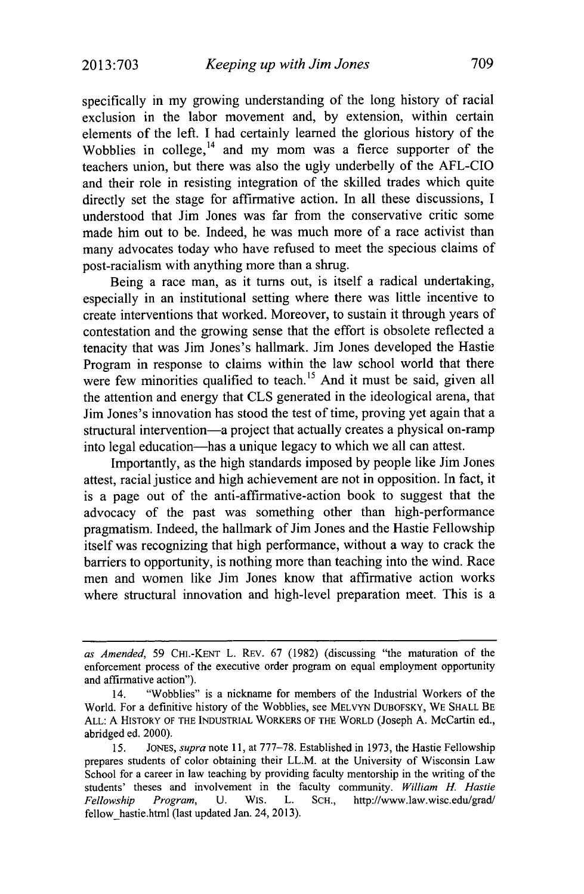specifically in my growing understanding of the long history of racial exclusion in the labor movement and, by extension, within certain elements of the left. I had certainly learned the glorious history of the Wobblies in college, $14$  and my mom was a fierce supporter of the teachers union, but there was also the ugly underbelly of the AFL-CIO and their role in resisting integration of the skilled trades which quite directly set the stage for affirmative action. In all these discussions, I understood that Jim Jones was far from the conservative critic some made him out to be. Indeed, he was much more of a race activist than many advocates today who have refused to meet the specious claims of post-racialism with anything more than a shrug.

Being a race man, as it turns out, is itself a radical undertaking, especially in an institutional setting where there was little incentive to create interventions that worked. Moreover, to sustain it through years of contestation and the growing sense that the effort is obsolete reflected a tenacity that was Jim Jones's hallmark. Jim Jones developed the Hastie Program in response to claims within the law school world that there were few minorities qualified to teach.<sup>15</sup> And it must be said, given all the attention and energy that CLS generated in the ideological arena, that Jim Jones's innovation has stood the test of time, proving yet again that a structural intervention-a project that actually creates a physical on-ramp into legal education-has a unique legacy to which we all can attest.

Importantly, as the high standards imposed by people like Jim Jones attest, racial justice and high achievement are not in opposition. In fact, it is a page out of the anti-affirmative-action book to suggest that the advocacy of the past was something other than high-performance pragmatism. Indeed, the hallmark of Jim Jones and the Hastie Fellowship itself was recognizing that high performance, without a way to crack the barriers to opportunity, is nothing more than teaching into the wind. Race men and women like Jim Jones know that affirmative action works where structural innovation and high-level preparation meet. This is a

*as Amended,* 59 **CHI.-KENT** L. REv. 67 (1982) (discussing "the maturation of the enforcement process of the executive order program on equal employment opportunity and affirmative action").

<sup>14. &</sup>quot;Wobblies" is a nickname for members of the Industrial Workers of the World. For a definitive history of the Wobblies, see MELVYN DUBOFSKY, WE SHALL BE ALL: A HISTORY OF THE **INDUSTRIAL** WORKERS OF THE WORLD (Joseph A. McCartin ed., abridged ed. 2000).

*<sup>15.</sup>* JONES, *supra* note 11, at 777-78. Established in 1973, the Hastie Fellowship prepares students of color obtaining their LL.M. at the University of Wisconsin Law School for a career in law teaching by providing faculty mentorship in the writing of the students' theses and involvement in the faculty community. *William H. Hastie Fellowship Program,* U. Wis. L. SCH., http://www.law.wisc.edu/grad/ fellow hastie.html (last updated Jan. 24, 2013).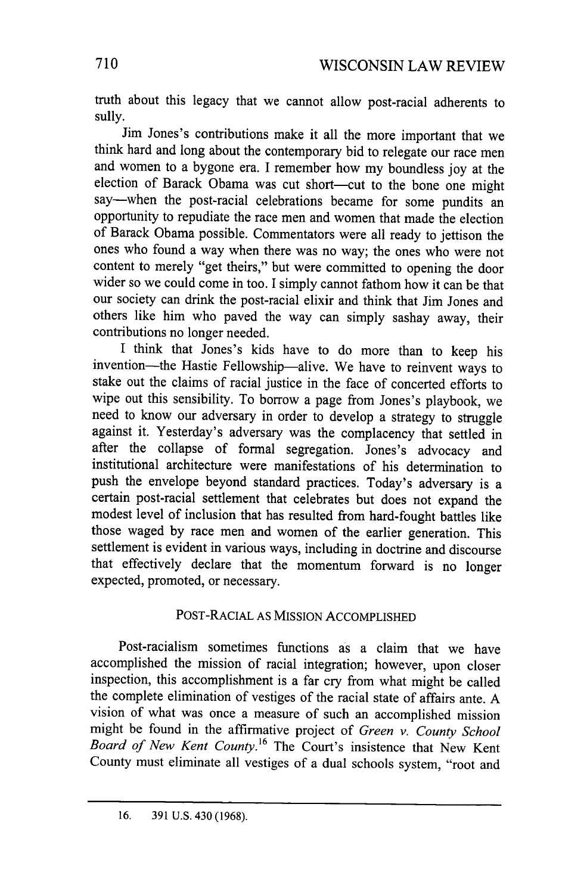truth about this legacy that we cannot allow post-racial adherents to sully.

Jim Jones's contributions make it all the more important that we think hard and long about the contemporary bid to relegate our race men and women to a bygone era. I remember how my boundless joy at the election of Barack Obama was cut short-cut to the bone one might say-when the post-racial celebrations became for some pundits an opportunity to repudiate the race men and women that made the election of Barack Obama possible. Commentators were all ready to jettison the ones who found a way when there was no way; the ones who were not content to merely "get theirs," but were committed to opening the door wider so we could come in too. I simply cannot fathom how it can be that our society can drink the post-racial elixir and think that Jim Jones and others like him who paved the way can simply sashay away, their contributions no longer needed.

I think that Jones's kids have to do more than to keep his invention-the Hastie Fellowship-alive. We have to reinvent ways to stake out the claims of racial justice in the face of concerted efforts to wipe out this sensibility. To borrow a page from Jones's playbook, we need to know our adversary in order to develop a strategy to struggle against it. Yesterday's adversary was the complacency that settled in after the collapse of formal segregation. Jones's advocacy and institutional architecture were manifestations of his determination to push the envelope beyond standard practices. Today's adversary is a certain post-racial settlement that celebrates but does not expand the modest level of inclusion that has resulted from hard-fought battles like those waged by race men and women of the earlier generation. This settlement is evident in various ways, including in doctrine and discourse that effectively declare that the momentum forward is no longer expected, promoted, or necessary.

## POST-RACIAL AS MISSION ACCOMPLISHED

Post-racialism sometimes functions as a claim that we have accomplished the mission of racial integration; however, upon closer inspection, this accomplishment is a far cry from what might be called the complete elimination of vestiges of the racial state of affairs ante. A vision of what was once a measure of such an accomplished mission might be found in the affirmative project of *Green v. County School Board of New Kent County.16* The Court's insistence that New Kent County must eliminate all vestiges of a dual schools system, "root and

<sup>16. 391</sup> U.S. 430 (1968).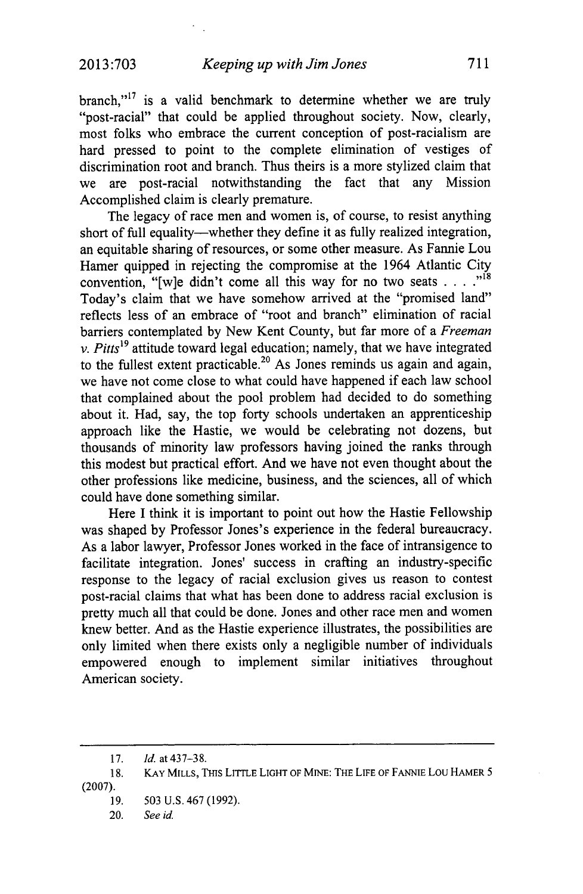branch,"<sup>17</sup> is a valid benchmark to determine whether we are truly "post-racial" that could be applied throughout society. Now, clearly, most folks who embrace the current conception of post-racialism are hard pressed to point to the complete elimination of vestiges of discrimination root and branch. Thus theirs is a more stylized claim that we are post-racial notwithstanding the fact that any Mission Accomplished claim is clearly premature.

The legacy of race men and women is, of course, to resist anything short of full equality—whether they define it as fully realized integration, an equitable sharing of resources, or some other measure. As Fannie Lou Hamer quipped in rejecting the compromise at the 1964 Atlantic City convention, "[w]e didn't come all this way for no two seats . . . ."<sup>18</sup> Today's claim that we have somehow arrived at the "promised land" reflects less of an embrace of "root and branch" elimination of racial barriers contemplated by New Kent County, but far more of a *Freeman v. Pitts19* attitude toward legal education; namely, that we have integrated to the fullest extent practicable.<sup>20</sup> As Jones reminds us again and again, we have not come close to what could have happened if each law school that complained about the pool problem had decided to do something about it. Had, say, the top forty schools undertaken an apprenticeship approach like the Hastie, we would be celebrating not dozens, but thousands of minority law professors having joined the ranks through this modest but practical effort. And we have not even thought about the other professions like medicine, business, and the sciences, all of which could have done something similar.

Here I think it is important to point out how the Hastie Fellowship was shaped by Professor Jones's experience in the federal bureaucracy. As a labor lawyer, Professor Jones worked in the face of intransigence to facilitate integration. Jones' success in crafting an industry-specific response to the legacy of racial exclusion gives us reason to contest post-racial claims that what has been done to address racial exclusion is pretty much all that could be done. Jones and other race men and women knew better. And as the Hastie experience illustrates, the possibilities are only limited when there exists only a negligible number of individuals empowered enough to implement similar initiatives throughout American society.

<sup>17.</sup> *Id.* at 437-38.

<sup>18.</sup> KAY MILLS, THIS LITTLE LIGHT OF MINE: THE LIFE OF FANNIE Lou HAMER 5 (2007).

<sup>19. 503</sup> U.S. 467 (1992).

<sup>20.</sup> *See id*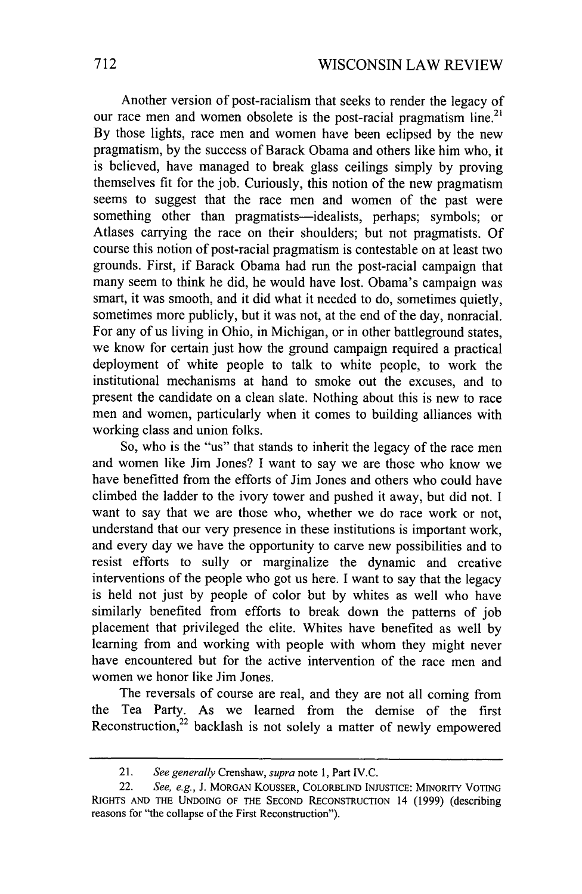Another version of post-racialism that seeks to render the legacy of our race men and women obsolete is the post-racial pragmatism line.<sup>21</sup> By those lights, race men and women have been eclipsed by the new pragmatism, by the success of Barack Obama and others like him who, it is believed, have managed to break glass ceilings simply by proving themselves fit for the job. Curiously, this notion of the new pragmatism seems to suggest that the race men and women of the past were something other than pragmatists-idealists, perhaps; symbols; or Atlases carrying the race on their shoulders; but not pragmatists. Of course this notion of post-racial pragmatism is contestable on at least two grounds. First, if Barack Obama had run the post-racial campaign that many seem to think he did, he would have lost. Obama's campaign was smart, it was smooth, and it did what it needed to do, sometimes quietly, sometimes more publicly, but it was not, at the end of the day, nonracial. For any of us living in Ohio, in Michigan, or in other battleground states, we know for certain just how the ground campaign required a practical deployment of white people to talk to white people, to work the institutional mechanisms at hand to smoke out the excuses, and to present the candidate on a clean slate. Nothing about this is new to race men and women, particularly when it comes to building alliances with working class and union folks.

So, who is the "us" that stands to inherit the legacy of the race men and women like Jim Jones? I want to say we are those who know we have benefitted from the efforts of Jim Jones and others who could have climbed the ladder to the ivory tower and pushed it away, but did not. I want to say that we are those who, whether we do race work or not, understand that our very presence in these institutions is important work, and every day we have the opportunity to carve new possibilities and to resist efforts to sully or marginalize the dynamic and creative interventions of the people who got us here. I want to say that the legacy is held not just by people of color but by whites as well who have similarly benefited from efforts to break down the patterns of job placement that privileged the elite. Whites have benefited as well by learning from and working with people with whom they might never have encountered but for the active intervention of the race men and women we honor like Jim Jones.

The reversals of course are real, and they are not all coming from the Tea Party. As we learned from the demise of the first Reconstruction, $22$  backlash is not solely a matter of newly empowered

<sup>21.</sup> *See generally* Crenshaw, *supra* note **1,** Part IV.C.

<sup>22.</sup> *See, e.g.,* J. MORGAN KOUSSER, COLORBLIND INJUSTICE: MINORITY VOTING RIGHTS **AND** THE UNDOING OF THE SECOND RECONSTRUCTION 14 (1999) (describing reasons for "the collapse of the First Reconstruction").